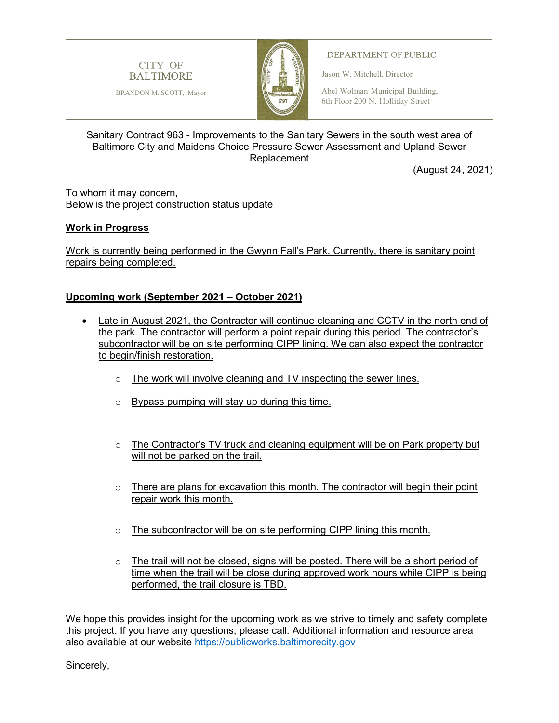

BRANDON M. SCOTT, Mayor



## DEPARTMENT OF PUBLIC

Jason W. Mitchell, Director

Abel Wolman Municipal Building, 6th Floor 200 N. Holliday Street

## Sanitary Contract 963 - Improvements to the Sanitary Sewers in the south west area of Baltimore City and Maidens Choice Pressure Sewer Assessment and Upland Sewer Replacement

(August 24, 2021)

To whom it may concern, Below is the project construction status update

## **Work in Progress**

Work is currently being performed in the Gwynn Fall's Park. Currently, there is sanitary point repairs being completed.

## **Upcoming work (September 2021 – October 2021)**

- Late in August 2021, the Contractor will continue cleaning and CCTV in the north end of the park. The contractor will perform a point repair during this period. The contractor's subcontractor will be on site performing CIPP lining. We can also expect the contractor to begin/finish restoration.
	- $\circ$  The work will involve cleaning and TV inspecting the sewer lines.
	- o Bypass pumping will stay up during this time.
	- $\circ$  The Contractor's TV truck and cleaning equipment will be on Park property but will not be parked on the trail.
	- $\circ$  There are plans for excavation this month. The contractor will begin their point repair work this month.
	- $\circ$  The subcontractor will be on site performing CIPP lining this month.
	- $\circ$  The trail will not be closed, signs will be posted. There will be a short period of time when the trail will be close during approved work hours while CIPP is being performed, the trail closure is TBD.

We hope this provides insight for the upcoming work as we strive to timely and safety complete this project. If you have any questions, please call. Additional information and resource area also available at our website [https://publicworks.baltimorecity.gov](https://publicworks.baltimorecity.gov/)

Sincerely,